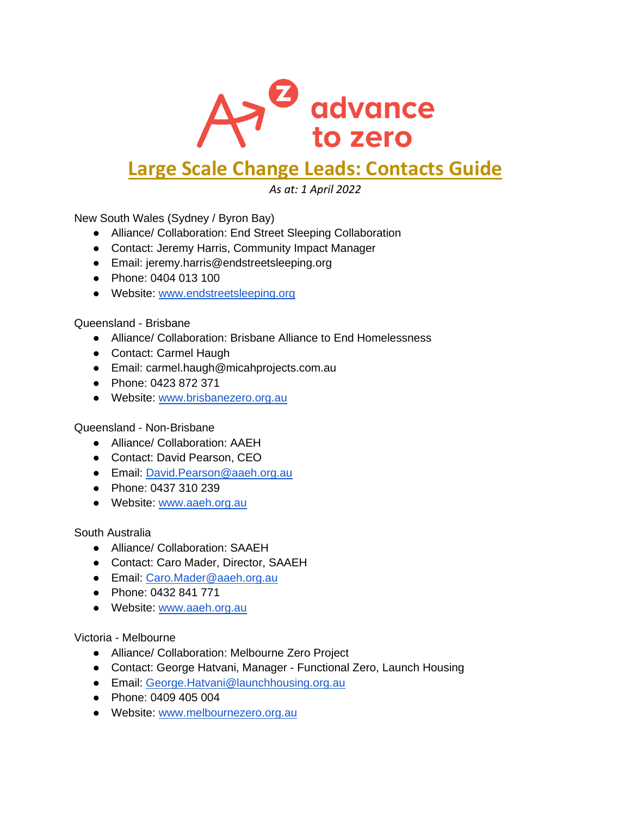

## **Large Scale Change Leads: Contacts Guide**

*As at: 1 April 2022*

New South Wales (Sydney / Byron Bay)

- Alliance/ Collaboration: End Street Sleeping Collaboration
- Contact: Jeremy Harris, Community Impact Manager
- Email: jeremy.harris@endstreetsleeping.org
- Phone: 0404 013 100
- Website: [www.endstreetsleeping.org](http://www.endstreetsleeping.org/)

Queensland - Brisbane

- Alliance/ Collaboration: Brisbane Alliance to End Homelessness
- Contact: Carmel Haugh
- Email: carmel.haugh@micahprojects.com.au
- Phone: 0423 872 371
- Website: [www.brisbanezero.org.au](http://www.brisbanezero.org.au/)

Queensland - Non-Brisbane

- Alliance/ Collaboration: AAEH
- Contact: David Pearson, CEO
- Email: [David.Pearson@aaeh.org.au](mailto:David.Pearson@aaeh.org.au)
- Phone: 0437 310 239
- Website: [www.aaeh.org.au](http://www.aaeh.org.au/)

South Australia

- Alliance/ Collaboration: SAAEH
- Contact: Caro Mader, Director, SAAEH
- Email: [Caro.Mader@aaeh.org.au](mailto:Caro.Mader@aaeh.org.au)
- Phone: 0432 841 771
- Website: [www.aaeh.org.au](http://www.aaeh.org.au/)

Victoria - Melbourne

- Alliance/ Collaboration: Melbourne Zero Project
- Contact: George Hatvani, Manager Functional Zero, Launch Housing
- Email: [George.Hatvani@launchhousing.org.au](mailto:George.Hatvani@launchhousing.org.au)
- Phone: 0409 405 004
- Website: [www.melbournezero.org.au](http://www.melbournezero.org.au/)